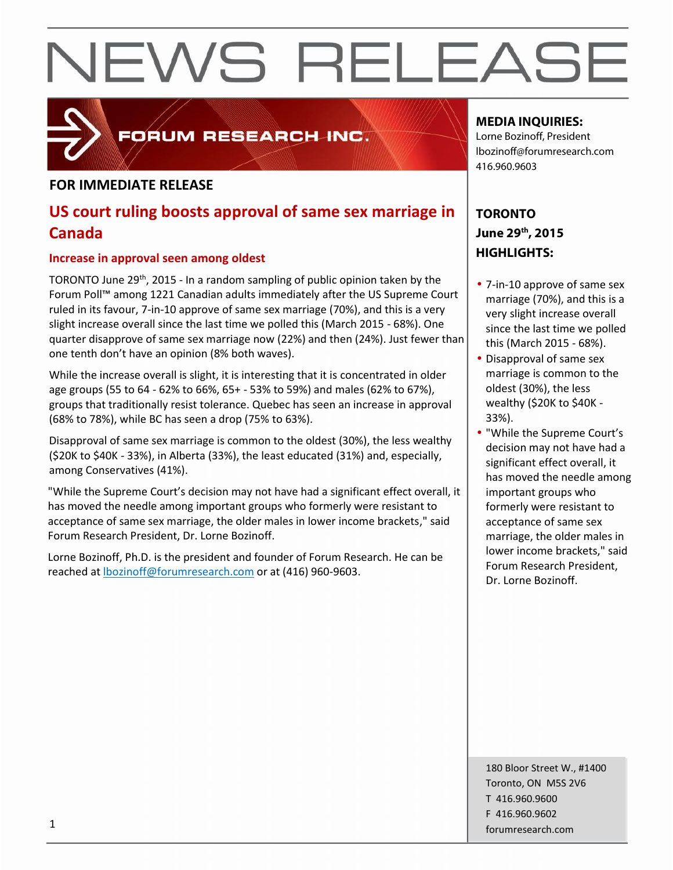# NEWS RELEASE



### FORUM RESEARCH INC.

#### **FOR IMMEDIATE RELEASE**

### **US court ruling boosts approval of same sex marriage in Canada**

#### **Increase in approval seen among oldest**

TORONTO June 29<sup>th</sup>, 2015 - In a random sampling of public opinion taken by the Forum Poll™ among 1221 Canadian adults immediately after the US Supreme Court ruled in its favour, 7-in-10 approve of same sex marriage (70%), and this is a very slight increase overall since the last time we polled this (March 2015 - 68%). One quarter disapprove of same sex marriage now (22%) and then (24%). Just fewer than one tenth don't have an opinion (8% both waves).

While the increase overall is slight, it is interesting that it is concentrated in older age groups (55 to 64 - 62% to 66%, 65+ - 53% to 59%) and males (62% to 67%), groups that traditionally resist tolerance. Quebec has seen an increase in approval (68% to 78%), while BC has seen a drop (75% to 63%).

Disapproval of same sex marriage is common to the oldest (30%), the less wealthy (\$20K to \$40K - 33%), in Alberta (33%), the least educated (31%) and, especially, among Conservatives (41%).

"While the Supreme Court's decision may not have had a significant effect overall, it has moved the needle among important groups who formerly were resistant to acceptance of same sex marriage, the older males in lower income brackets," said Forum Research President, Dr. Lorne Bozinoff.

Lorne Bozinoff, Ph.D. is the president and founder of Forum Research. He can be reached at lbozinoff@forumresearch.com or at (416) 960-9603.

#### **MEDIA INQUIRIES:**

Lorne Bozinoff, President lbozinoff@forumresearch.com 416.960.9603

#### **TORONTO June 29th, 2015 HIGHLIGHTS:**

- 7-in-10 approve of same sex marriage (70%), and this is a very slight increase overall since the last time we polled this (March 2015 - 68%).
- Disapproval of same sex marriage is common to the oldest (30%), the less wealthy (\$20K to \$40K - 33%).
- "While the Supreme Court's decision may not have had a significant effect overall, it has moved the needle among important groups who formerly were resistant to acceptance of same sex marriage, the older males in lower income brackets," said Forum Research President, Dr. Lorne Bozinoff.

180 Bloor Street W., #1400 Toronto, ON M5S 2V6 T 416.960.9600 F 416.960.9602 forumresearch.com 1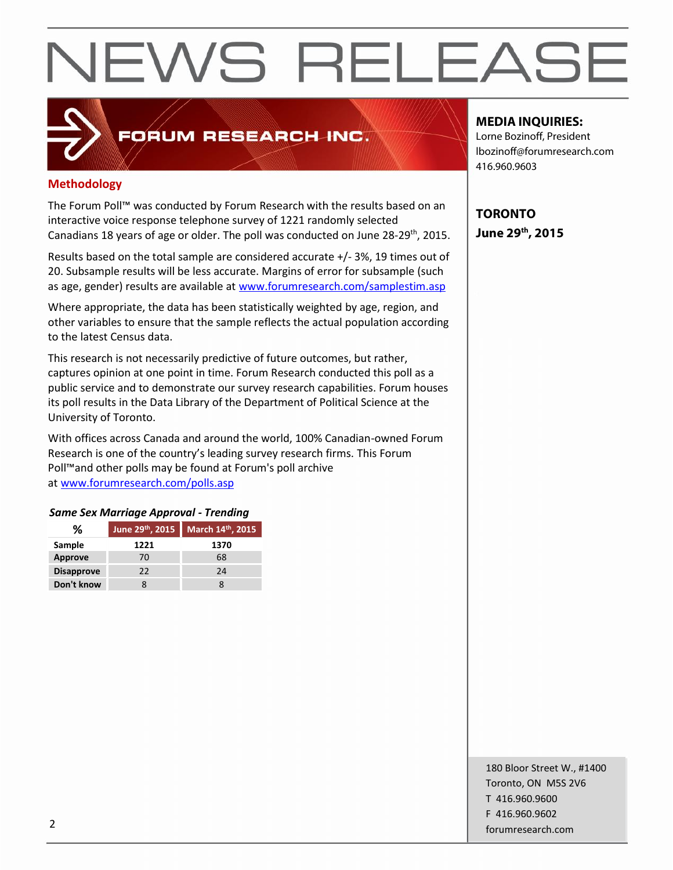# NEWS RELEASE

### **Methodology**

The Forum Poll™ was conducted by Forum Research with the results based on an interactive voice response telephone survey of 1221 randomly selected Canadians 18 years of age or older. The poll was conducted on June 28-29<sup>th</sup>, 2015.  $\vert$ 

FORUM RESEARCH INC.

Results based on the total sample are considered accurate +/- 3%, 19 times out of 20. Subsample results will be less accurate. Margins of error for subsample (such as age, gender) results are available at www.forumresearch.com/samplestim.asp

Where appropriate, the data has been statistically weighted by age, region, and other variables to ensure that the sample reflects the actual population according to the latest Census data.

This research is not necessarily predictive of future outcomes, but rather, captures opinion at one point in time. Forum Research conducted this poll as a public service and to demonstrate our survey research capabilities. Forum houses its poll results in the Data Library of the Department of Political Science at the University of Toronto.

With offices across Canada and around the world, 100% Canadian-owned Forum Research is one of the country's leading survey research firms. This Forum Poll™and other polls may be found at Forum's poll archive at www.forumresearch.com/polls.asp

#### *Same Sex Marriage Approval - Trending*

| %                 |      | June 29th, 2015 March 14th, 2015 |  |  |  |
|-------------------|------|----------------------------------|--|--|--|
| Sample            | 1221 | 1370                             |  |  |  |
| Approve           | 70   | 68                               |  |  |  |
| <b>Disapprove</b> | 22.  | 24                               |  |  |  |
| Don't know        |      |                                  |  |  |  |

#### **MEDIA INQUIRIES:**

Lorne Bozinoff, President lbozinoff@forumresearch.com 416.960.9603

**TORONTO June 29th, 2015**

180 Bloor Street W., #1400 Toronto, ON M5S 2V6 T 416.960.9600 F 416.960.9602 forumresearch.com 2